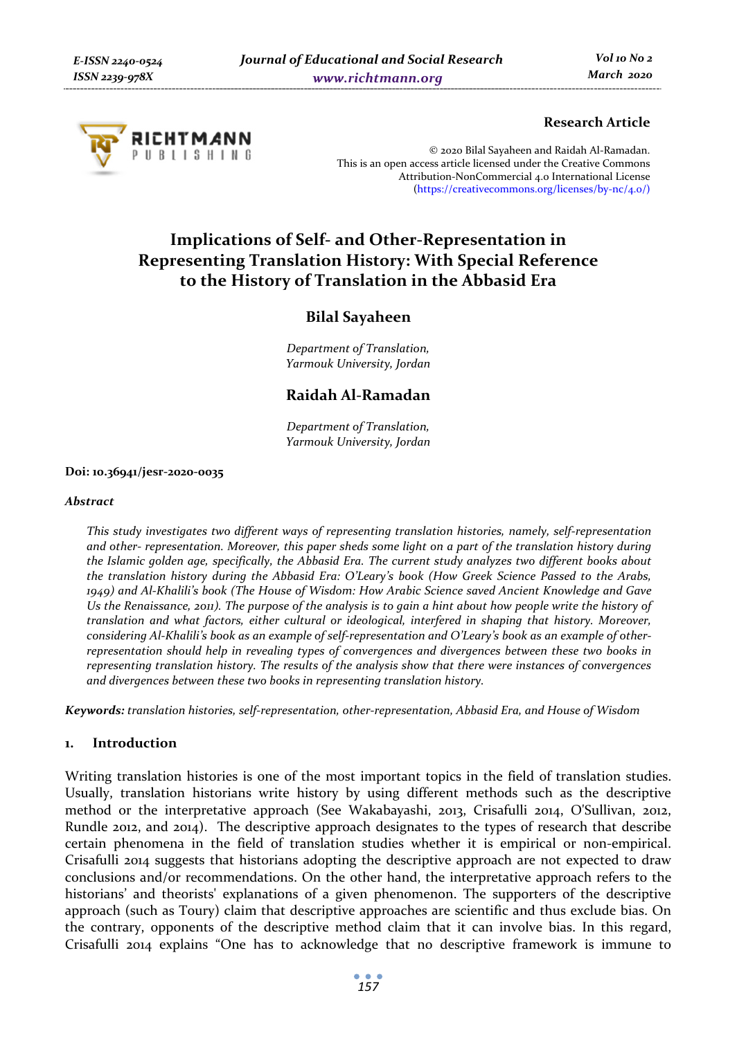

# **Research Article**

© 2020 Bilal Sayaheen and Raidah Al-Ramadan. This is an open access article licensed under the Creative Commons Attribution-NonCommercial 4.0 International License (https://creativecommons.org/licenses/by-nc/4.0/)

# **Implications of Self- and Other-Representation in Representing Translation History: With Special Reference to the History of Translation in the Abbasid Era**

# **Bilal Sayaheen**

*Department of Translation, Yarmouk University, Jordan* 

# **Raidah Al-Ramadan**

*Department of Translation, Yarmouk University, Jordan* 

#### **Doi: 10.36941/jesr-2020-0035**

#### *Abstract*

*This study investigates two different ways of representing translation histories, namely, self-representation and other- representation. Moreover, this paper sheds some light on a part of the translation history during the Islamic golden age, specifically, the Abbasid Era. The current study analyzes two different books about the translation history during the Abbasid Era: O'Leary's book (How Greek Science Passed to the Arabs, 1949) and Al-Khalili's book (The House of Wisdom: How Arabic Science saved Ancient Knowledge and Gave Us the Renaissance, 2011). The purpose of the analysis is to gain a hint about how people write the history of translation and what factors, either cultural or ideological, interfered in shaping that history. Moreover, considering Al-Khalili's book as an example of self-representation and O'Leary's book as an example of otherrepresentation should help in revealing types of convergences and divergences between these two books in representing translation history. The results of the analysis show that there were instances of convergences and divergences between these two books in representing translation history.* 

*Keywords: translation histories, self-representation, other-representation, Abbasid Era, and House of Wisdom* 

## **1. Introduction**

Writing translation histories is one of the most important topics in the field of translation studies. Usually, translation historians write history by using different methods such as the descriptive method or the interpretative approach (See Wakabayashi, 2013, Crisafulli 2014, O'Sullivan, 2012, Rundle 2012, and 2014). The descriptive approach designates to the types of research that describe certain phenomena in the field of translation studies whether it is empirical or non-empirical. Crisafulli 2014 suggests that historians adopting the descriptive approach are not expected to draw conclusions and/or recommendations. On the other hand, the interpretative approach refers to the historians' and theorists' explanations of a given phenomenon. The supporters of the descriptive approach (such as Toury) claim that descriptive approaches are scientific and thus exclude bias. On the contrary, opponents of the descriptive method claim that it can involve bias. In this regard, Crisafulli 2014 explains "One has to acknowledge that no descriptive framework is immune to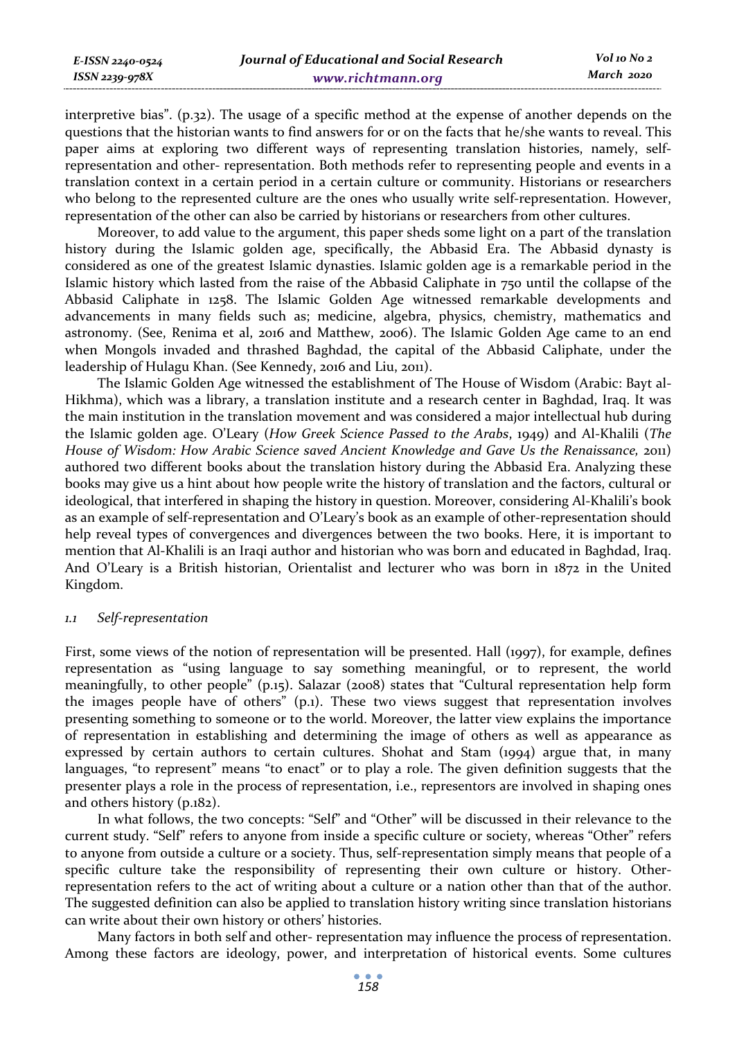interpretive bias". (p.32). The usage of a specific method at the expense of another depends on the questions that the historian wants to find answers for or on the facts that he/she wants to reveal. This paper aims at exploring two different ways of representing translation histories, namely, selfrepresentation and other- representation. Both methods refer to representing people and events in a translation context in a certain period in a certain culture or community. Historians or researchers who belong to the represented culture are the ones who usually write self-representation. However, representation of the other can also be carried by historians or researchers from other cultures.

Moreover, to add value to the argument, this paper sheds some light on a part of the translation history during the Islamic golden age, specifically, the Abbasid Era. The Abbasid dynasty is considered as one of the greatest Islamic dynasties. Islamic golden age is a remarkable period in the Islamic history which lasted from the raise of the Abbasid Caliphate in 750 until the collapse of the Abbasid Caliphate in 1258. The Islamic Golden Age witnessed remarkable developments and advancements in many fields such as; medicine, algebra, physics, chemistry, mathematics and astronomy. (See, Renima et al, 2016 and Matthew, 2006). The Islamic Golden Age came to an end when Mongols invaded and thrashed Baghdad, the capital of the Abbasid Caliphate, under the leadership of Hulagu Khan. (See Kennedy, 2016 and Liu, 2011).

The Islamic Golden Age witnessed the establishment of The House of Wisdom (Arabic: Bayt al-Hikhma), which was a library, a translation institute and a research center in Baghdad, Iraq. It was the main institution in the translation movement and was considered a major intellectual hub during the Islamic golden age. O'Leary (*How Greek Science Passed to the Arabs*, 1949) and Al-Khalili (*The House of Wisdom: How Arabic Science saved Ancient Knowledge and Gave Us the Renaissance, 2011*) authored two different books about the translation history during the Abbasid Era. Analyzing these books may give us a hint about how people write the history of translation and the factors, cultural or ideological, that interfered in shaping the history in question. Moreover, considering Al-Khalili's book as an example of self-representation and O'Leary's book as an example of other-representation should help reveal types of convergences and divergences between the two books. Here, it is important to mention that Al-Khalili is an Iraqi author and historian who was born and educated in Baghdad, Iraq. And O'Leary is a British historian, Orientalist and lecturer who was born in 1872 in the United Kingdom.

## *1.1 Self-representation*

First, some views of the notion of representation will be presented. Hall (1997), for example, defines representation as "using language to say something meaningful, or to represent, the world meaningfully, to other people" (p.15). Salazar (2008) states that "Cultural representation help form the images people have of others" (p.1). These two views suggest that representation involves presenting something to someone or to the world. Moreover, the latter view explains the importance of representation in establishing and determining the image of others as well as appearance as expressed by certain authors to certain cultures. Shohat and Stam (1994) argue that, in many languages, "to represent" means "to enact" or to play a role. The given definition suggests that the presenter plays a role in the process of representation, i.e., representors are involved in shaping ones and others history (p.182).

In what follows, the two concepts: "Self" and "Other" will be discussed in their relevance to the current study. "Self" refers to anyone from inside a specific culture or society, whereas "Other" refers to anyone from outside a culture or a society. Thus, self-representation simply means that people of a specific culture take the responsibility of representing their own culture or history. Otherrepresentation refers to the act of writing about a culture or a nation other than that of the author. The suggested definition can also be applied to translation history writing since translation historians can write about their own history or others' histories.

Many factors in both self and other- representation may influence the process of representation. Among these factors are ideology, power, and interpretation of historical events. Some cultures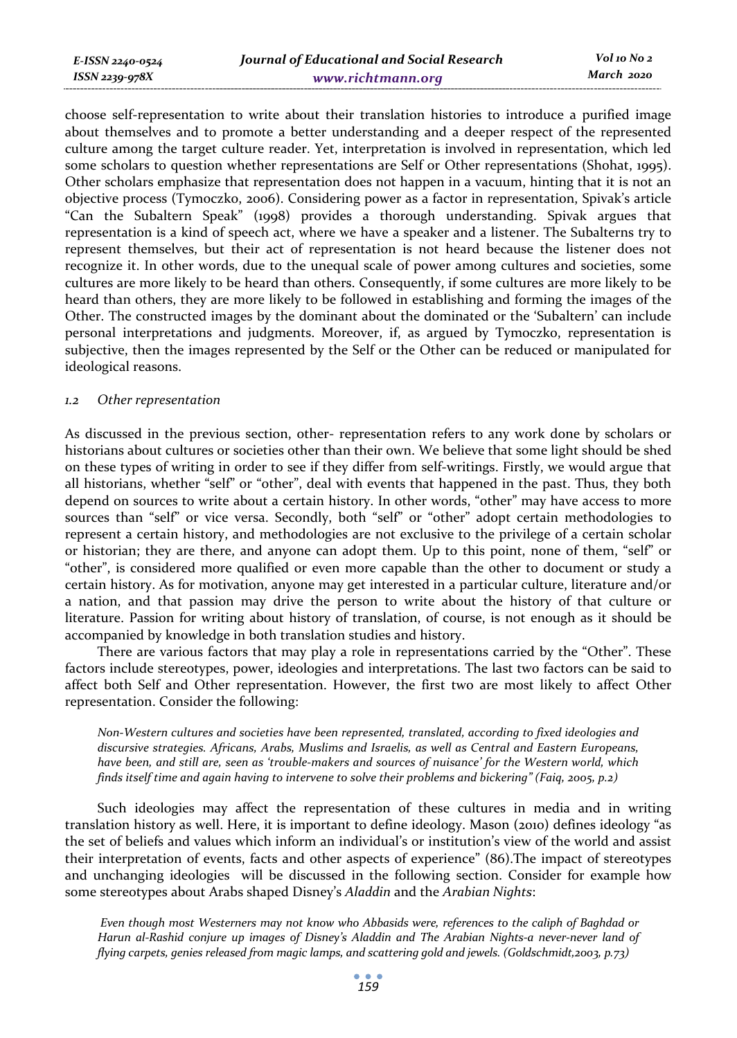| E-ISSN 2240-0524 | Journal of Educational and Social Research | Vol 10 No 2 |
|------------------|--------------------------------------------|-------------|
| ISSN 2239-978X   | www.richtmann.org                          | March 2020  |

choose self-representation to write about their translation histories to introduce a purified image about themselves and to promote a better understanding and a deeper respect of the represented culture among the target culture reader. Yet, interpretation is involved in representation, which led some scholars to question whether representations are Self or Other representations (Shohat, 1995). Other scholars emphasize that representation does not happen in a vacuum, hinting that it is not an objective process (Tymoczko, 2006). Considering power as a factor in representation, Spivak's article "Can the Subaltern Speak" (1998) provides a thorough understanding. Spivak argues that representation is a kind of speech act, where we have a speaker and a listener. The Subalterns try to represent themselves, but their act of representation is not heard because the listener does not recognize it. In other words, due to the unequal scale of power among cultures and societies, some cultures are more likely to be heard than others. Consequently, if some cultures are more likely to be heard than others, they are more likely to be followed in establishing and forming the images of the Other. The constructed images by the dominant about the dominated or the 'Subaltern' can include personal interpretations and judgments. Moreover, if, as argued by Tymoczko, representation is subjective, then the images represented by the Self or the Other can be reduced or manipulated for ideological reasons.

## *1.2 Other representation*

As discussed in the previous section, other- representation refers to any work done by scholars or historians about cultures or societies other than their own. We believe that some light should be shed on these types of writing in order to see if they differ from self-writings. Firstly, we would argue that all historians, whether "self" or "other", deal with events that happened in the past. Thus, they both depend on sources to write about a certain history. In other words, "other" may have access to more sources than "self" or vice versa. Secondly, both "self" or "other" adopt certain methodologies to represent a certain history, and methodologies are not exclusive to the privilege of a certain scholar or historian; they are there, and anyone can adopt them. Up to this point, none of them, "self" or "other", is considered more qualified or even more capable than the other to document or study a certain history. As for motivation, anyone may get interested in a particular culture, literature and/or a nation, and that passion may drive the person to write about the history of that culture or literature. Passion for writing about history of translation, of course, is not enough as it should be accompanied by knowledge in both translation studies and history.

There are various factors that may play a role in representations carried by the "Other". These factors include stereotypes, power, ideologies and interpretations. The last two factors can be said to affect both Self and Other representation. However, the first two are most likely to affect Other representation. Consider the following:

*Non-Western cultures and societies have been represented, translated, according to fixed ideologies and discursive strategies. Africans, Arabs, Muslims and Israelis, as well as Central and Eastern Europeans, have been, and still are, seen as 'trouble-makers and sources of nuisance' for the Western world, which finds itself time and again having to intervene to solve their problems and bickering" (Faiq, 2005, p.2)* 

Such ideologies may affect the representation of these cultures in media and in writing translation history as well. Here, it is important to define ideology. Mason (2010) defines ideology "as the set of beliefs and values which inform an individual's or institution's view of the world and assist their interpretation of events, facts and other aspects of experience" (86).The impact of stereotypes and unchanging ideologies will be discussed in the following section. Consider for example how some stereotypes about Arabs shaped Disney's *Aladdin* and the *Arabian Nights*:

 *Even though most Westerners may not know who Abbasids were, references to the caliph of Baghdad or Harun al-Rashid conjure up images of Disney's Aladdin and The Arabian Nights-a never-never land of flying carpets, genies released from magic lamps, and scattering gold and jewels. (Goldschmidt,2003, p.73)*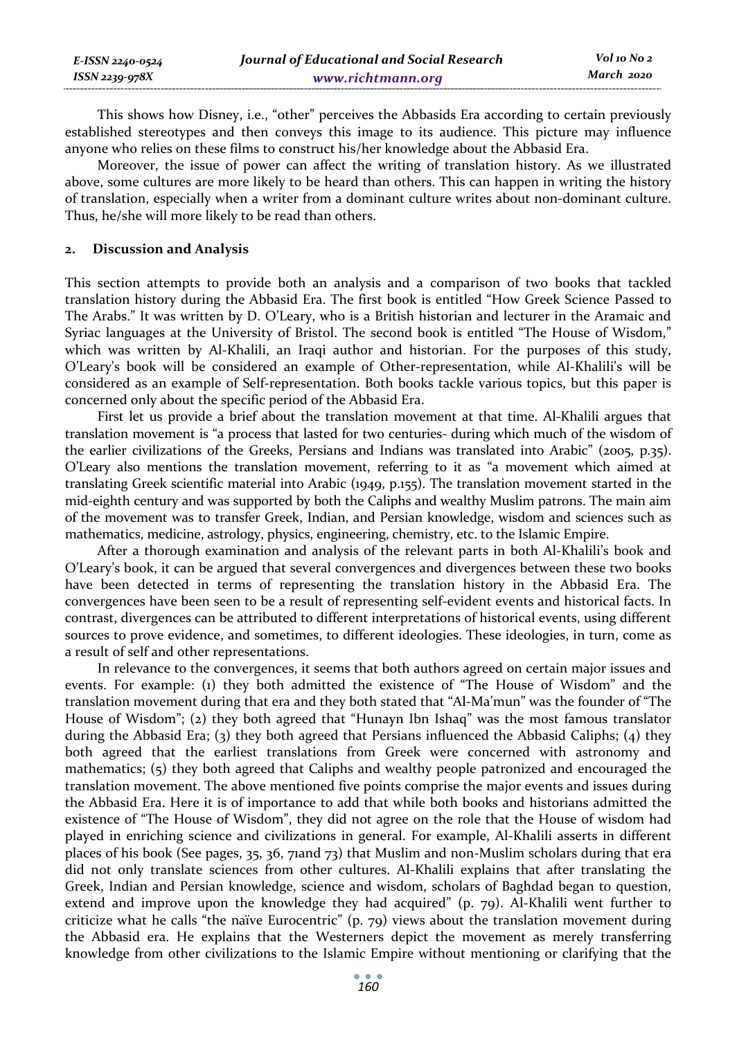| E-ISSN 2240-0524 | Journal of Educational and Social Research | Vol 10 No 2 |
|------------------|--------------------------------------------|-------------|
| ISSN 2239-978X   | www.richtmann.org                          | March 2020  |

This shows how Disney, i.e., "other" perceives the Abbasids Era according to certain previously established stereotypes and then conveys this image to its audience. This picture may influence anyone who relies on these films to construct his/her knowledge about the Abbasid Era.

Moreover, the issue of power can affect the writing of translation history. As we illustrated above, some cultures are more likely to be heard than others. This can happen in writing the history of translation, especially when a writer from a dominant culture writes about non-dominant culture. Thus, he/she will more likely to be read than others.

#### **2. Discussion and Analysis**

This section attempts to provide both an analysis and a comparison of two books that tackled translation history during the Abbasid Era. The first book is entitled "How Greek Science Passed to The Arabs." It was written by D. O'Leary, who is a British historian and lecturer in the Aramaic and Syriac languages at the University of Bristol. The second book is entitled "The House of Wisdom," which was written by Al-Khalili, an Iraqi author and historian. For the purposes of this study, O'Leary's book will be considered an example of Other-representation, while Al-Khalili's will be considered as an example of Self-representation. Both books tackle various topics, but this paper is concerned only about the specific period of the Abbasid Era.

First let us provide a brief about the translation movement at that time. Al-Khalili argues that translation movement is "a process that lasted for two centuries- during which much of the wisdom of the earlier civilizations of the Greeks, Persians and Indians was translated into Arabic" (2005, p.35). O'Leary also mentions the translation movement, referring to it as "a movement which aimed at translating Greek scientific material into Arabic (1949, p.155). The translation movement started in the mid-eighth century and was supported by both the Caliphs and wealthy Muslim patrons. The main aim of the movement was to transfer Greek, Indian, and Persian knowledge, wisdom and sciences such as mathematics, medicine, astrology, physics, engineering, chemistry, etc. to the Islamic Empire.

After a thorough examination and analysis of the relevant parts in both Al-Khalili's book and O'Leary's book, it can be argued that several convergences and divergences between these two books have been detected in terms of representing the translation history in the Abbasid Era. The convergences have been seen to be a result of representing self-evident events and historical facts. In contrast, divergences can be attributed to different interpretations of historical events, using different sources to prove evidence, and sometimes, to different ideologies. These ideologies, in turn, come as a result of self and other representations.

In relevance to the convergences, it seems that both authors agreed on certain major issues and events. For example: (1) they both admitted the existence of "The House of Wisdom" and the translation movement during that era and they both stated that "Al-Ma'mun" was the founder of "The House of Wisdom"; (2) they both agreed that "Hunayn Ibn Ishaq" was the most famous translator during the Abbasid Era; (3) they both agreed that Persians influenced the Abbasid Caliphs; (4) they both agreed that the earliest translations from Greek were concerned with astronomy and mathematics; (5) they both agreed that Caliphs and wealthy people patronized and encouraged the translation movement. The above mentioned five points comprise the major events and issues during the Abbasid Era. Here it is of importance to add that while both books and historians admitted the existence of "The House of Wisdom", they did not agree on the role that the House of wisdom had played in enriching science and civilizations in general. For example, Al-Khalili asserts in different places of his book (See pages, 35, 36, 71and 73) that Muslim and non-Muslim scholars during that era did not only translate sciences from other cultures. Al-Khalili explains that after translating the Greek, Indian and Persian knowledge, science and wisdom, scholars of Baghdad began to question, extend and improve upon the knowledge they had acquired" (p. 79). Al-Khalili went further to criticize what he calls "the naïve Eurocentric" (p. 79) views about the translation movement during the Abbasid era. He explains that the Westerners depict the movement as merely transferring knowledge from other civilizations to the Islamic Empire without mentioning or clarifying that the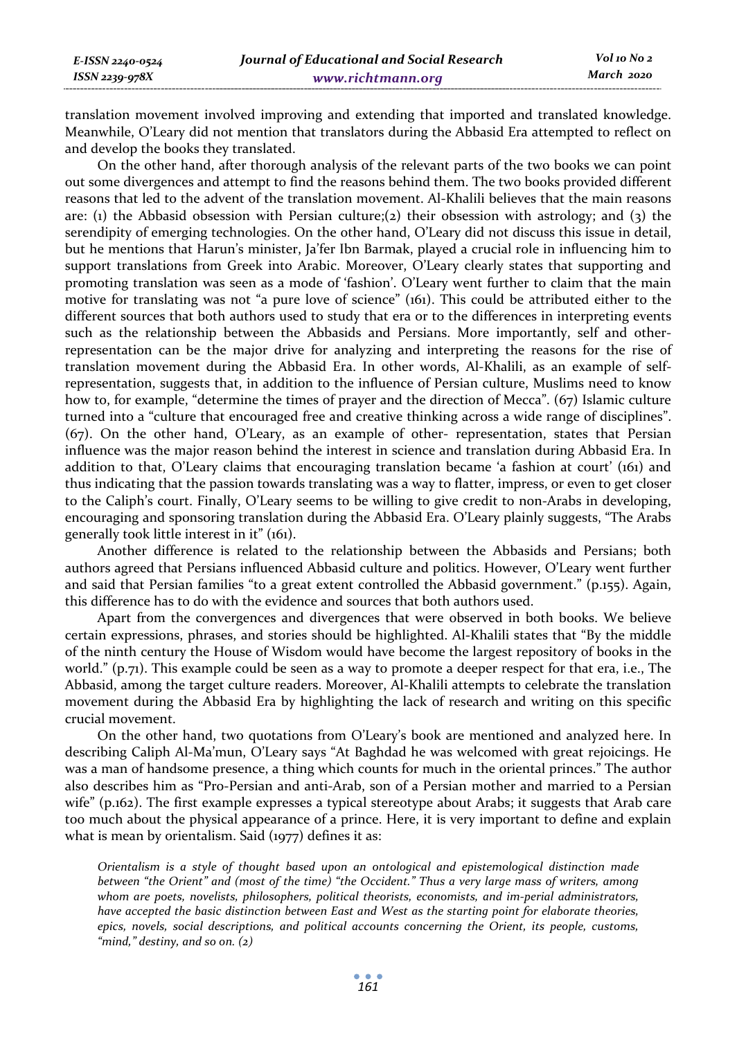translation movement involved improving and extending that imported and translated knowledge. Meanwhile, O'Leary did not mention that translators during the Abbasid Era attempted to reflect on and develop the books they translated.

On the other hand, after thorough analysis of the relevant parts of the two books we can point out some divergences and attempt to find the reasons behind them. The two books provided different reasons that led to the advent of the translation movement. Al-Khalili believes that the main reasons are: (1) the Abbasid obsession with Persian culture;(2) their obsession with astrology; and (3) the serendipity of emerging technologies. On the other hand, O'Leary did not discuss this issue in detail, but he mentions that Harun's minister, Ja'fer Ibn Barmak, played a crucial role in influencing him to support translations from Greek into Arabic. Moreover, O'Leary clearly states that supporting and promoting translation was seen as a mode of 'fashion'. O'Leary went further to claim that the main motive for translating was not "a pure love of science" (161). This could be attributed either to the different sources that both authors used to study that era or to the differences in interpreting events such as the relationship between the Abbasids and Persians. More importantly, self and otherrepresentation can be the major drive for analyzing and interpreting the reasons for the rise of translation movement during the Abbasid Era. In other words, Al-Khalili, as an example of selfrepresentation, suggests that, in addition to the influence of Persian culture, Muslims need to know how to, for example, "determine the times of prayer and the direction of Mecca". (67) Islamic culture turned into a "culture that encouraged free and creative thinking across a wide range of disciplines". (67). On the other hand, O'Leary, as an example of other- representation, states that Persian influence was the major reason behind the interest in science and translation during Abbasid Era. In addition to that, O'Leary claims that encouraging translation became 'a fashion at court' (161) and thus indicating that the passion towards translating was a way to flatter, impress, or even to get closer to the Caliph's court. Finally, O'Leary seems to be willing to give credit to non-Arabs in developing, encouraging and sponsoring translation during the Abbasid Era. O'Leary plainly suggests, "The Arabs generally took little interest in it" (161).

Another difference is related to the relationship between the Abbasids and Persians; both authors agreed that Persians influenced Abbasid culture and politics. However, O'Leary went further and said that Persian families "to a great extent controlled the Abbasid government." (p.155). Again, this difference has to do with the evidence and sources that both authors used.

Apart from the convergences and divergences that were observed in both books. We believe certain expressions, phrases, and stories should be highlighted. Al-Khalili states that "By the middle of the ninth century the House of Wisdom would have become the largest repository of books in the world." (p.71). This example could be seen as a way to promote a deeper respect for that era, i.e., The Abbasid, among the target culture readers. Moreover, Al-Khalili attempts to celebrate the translation movement during the Abbasid Era by highlighting the lack of research and writing on this specific crucial movement.

On the other hand, two quotations from O'Leary's book are mentioned and analyzed here. In describing Caliph Al-Ma'mun, O'Leary says "At Baghdad he was welcomed with great rejoicings. He was a man of handsome presence, a thing which counts for much in the oriental princes." The author also describes him as "Pro-Persian and anti-Arab, son of a Persian mother and married to a Persian wife" (p.162). The first example expresses a typical stereotype about Arabs; it suggests that Arab care too much about the physical appearance of a prince. Here, it is very important to define and explain what is mean by orientalism. Said (1977) defines it as:

*Orientalism is a style of thought based upon an ontological and epistemological distinction made between "the Orient" and (most of the time) "the Occident." Thus a very large mass of writers, among whom are poets, novelists, philosophers, political theorists, economists, and im-perial administrators, have accepted the basic distinction between East and West as the starting point for elaborate theories, epics, novels, social descriptions, and political accounts concerning the Orient, its people, customs, "mind," destiny, and so on. (2)*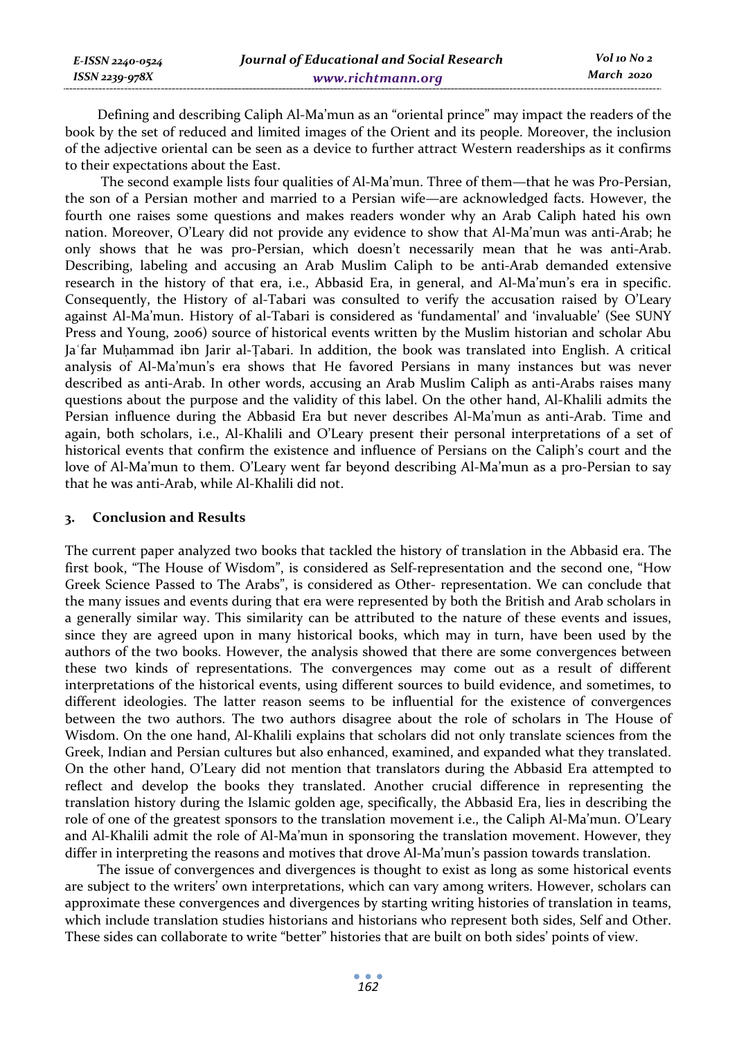| E-ISSN 2240-0524 | Journal of Educational and Social Research | Vol 10 No 2 |
|------------------|--------------------------------------------|-------------|
| ISSN 2239-978X   | www.richtmann.org                          | March 2020  |

Defining and describing Caliph Al-Ma'mun as an "oriental prince" may impact the readers of the book by the set of reduced and limited images of the Orient and its people. Moreover, the inclusion of the adjective oriental can be seen as a device to further attract Western readerships as it confirms to their expectations about the East.

 The second example lists four qualities of Al-Ma'mun. Three of them—that he was Pro-Persian, the son of a Persian mother and married to a Persian wife—are acknowledged facts. However, the fourth one raises some questions and makes readers wonder why an Arab Caliph hated his own nation. Moreover, O'Leary did not provide any evidence to show that Al-Ma'mun was anti-Arab; he only shows that he was pro-Persian, which doesn't necessarily mean that he was anti-Arab. Describing, labeling and accusing an Arab Muslim Caliph to be anti-Arab demanded extensive research in the history of that era, i.e., Abbasid Era, in general, and Al-Ma'mun's era in specific. Consequently, the History of al-Tabari was consulted to verify the accusation raised by O'Leary against Al-Ma'mun. History of al-Tabari is considered as 'fundamental' and 'invaluable' (See SUNY Press and Young, 2006) source of historical events written by the Muslim historian and scholar Abu Jaʿfar Muḥammad ibn Jarir al-Ṭabari. In addition, the book was translated into English. A critical analysis of Al-Ma'mun's era shows that He favored Persians in many instances but was never described as anti-Arab. In other words, accusing an Arab Muslim Caliph as anti-Arabs raises many questions about the purpose and the validity of this label. On the other hand, Al-Khalili admits the Persian influence during the Abbasid Era but never describes Al-Ma'mun as anti-Arab. Time and again, both scholars, i.e., Al-Khalili and O'Leary present their personal interpretations of a set of historical events that confirm the existence and influence of Persians on the Caliph's court and the love of Al-Ma'mun to them. O'Leary went far beyond describing Al-Ma'mun as a pro-Persian to say that he was anti-Arab, while Al-Khalili did not.

## **3. Conclusion and Results**

The current paper analyzed two books that tackled the history of translation in the Abbasid era. The first book, "The House of Wisdom", is considered as Self-representation and the second one, "How Greek Science Passed to The Arabs", is considered as Other- representation. We can conclude that the many issues and events during that era were represented by both the British and Arab scholars in a generally similar way. This similarity can be attributed to the nature of these events and issues, since they are agreed upon in many historical books, which may in turn, have been used by the authors of the two books. However, the analysis showed that there are some convergences between these two kinds of representations. The convergences may come out as a result of different interpretations of the historical events, using different sources to build evidence, and sometimes, to different ideologies. The latter reason seems to be influential for the existence of convergences between the two authors. The two authors disagree about the role of scholars in The House of Wisdom. On the one hand, Al-Khalili explains that scholars did not only translate sciences from the Greek, Indian and Persian cultures but also enhanced, examined, and expanded what they translated. On the other hand, O'Leary did not mention that translators during the Abbasid Era attempted to reflect and develop the books they translated. Another crucial difference in representing the translation history during the Islamic golden age, specifically, the Abbasid Era, lies in describing the role of one of the greatest sponsors to the translation movement i.e., the Caliph Al-Ma'mun. O'Leary and Al-Khalili admit the role of Al-Ma'mun in sponsoring the translation movement. However, they differ in interpreting the reasons and motives that drove Al-Ma'mun's passion towards translation.

The issue of convergences and divergences is thought to exist as long as some historical events are subject to the writers' own interpretations, which can vary among writers. However, scholars can approximate these convergences and divergences by starting writing histories of translation in teams, which include translation studies historians and historians who represent both sides, Self and Other. These sides can collaborate to write "better" histories that are built on both sides' points of view.